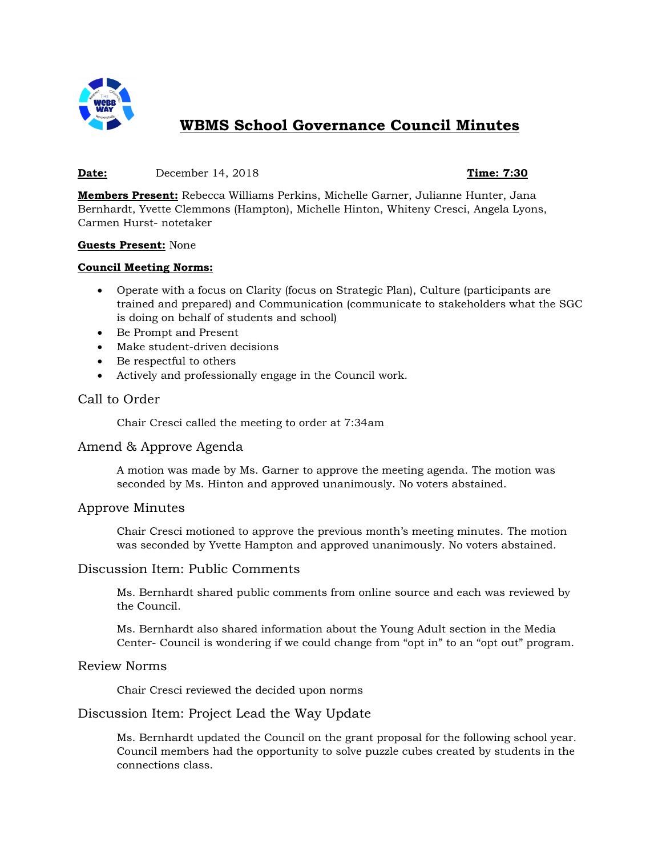

# **WBMS School Governance Council Minutes**

## **Date:** December 14, 2018 **Time: 7:30**

**Members Present:** Rebecca Williams Perkins, Michelle Garner, Julianne Hunter, Jana Bernhardt, Yvette Clemmons (Hampton), Michelle Hinton, Whiteny Cresci, Angela Lyons, Carmen Hurst- notetaker

#### **Guests Present:** None

#### **Council Meeting Norms:**

- Operate with a focus on Clarity (focus on Strategic Plan), Culture (participants are trained and prepared) and Communication (communicate to stakeholders what the SGC is doing on behalf of students and school)
- Be Prompt and Present
- Make student-driven decisions
- Be respectful to others
- Actively and professionally engage in the Council work.

# Call to Order

Chair Cresci called the meeting to order at 7:34am

#### Amend & Approve Agenda

A motion was made by Ms. Garner to approve the meeting agenda. The motion was seconded by Ms. Hinton and approved unanimously. No voters abstained.

#### Approve Minutes

Chair Cresci motioned to approve the previous month's meeting minutes. The motion was seconded by Yvette Hampton and approved unanimously. No voters abstained.

#### Discussion Item: Public Comments

Ms. Bernhardt shared public comments from online source and each was reviewed by the Council.

Ms. Bernhardt also shared information about the Young Adult section in the Media Center- Council is wondering if we could change from "opt in" to an "opt out" program.

## Review Norms

Chair Cresci reviewed the decided upon norms

# Discussion Item: Project Lead the Way Update

Ms. Bernhardt updated the Council on the grant proposal for the following school year. Council members had the opportunity to solve puzzle cubes created by students in the connections class.